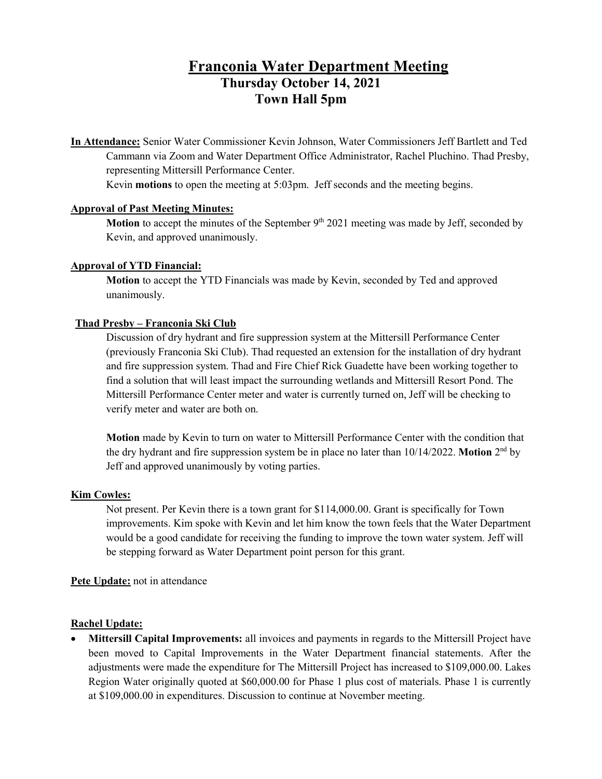# **Franconia Water Department Meeting Thursday October 14, 2021 Town Hall 5pm**

**In Attendance:** Senior Water Commissioner Kevin Johnson, Water Commissioners Jeff Bartlett and Ted Cammann via Zoom and Water Department Office Administrator, Rachel Pluchino. Thad Presby, representing Mittersill Performance Center.

Kevin **motions** to open the meeting at 5:03pm. Jeff seconds and the meeting begins.

# **Approval of Past Meeting Minutes:**

**Motion** to accept the minutes of the September 9<sup>th</sup> 2021 meeting was made by Jeff, seconded by Kevin, and approved unanimously.

## **Approval of YTD Financial:**

**Motion** to accept the YTD Financials was made by Kevin, seconded by Ted and approved unanimously.

## **Thad Presby – Franconia Ski Club**

Discussion of dry hydrant and fire suppression system at the Mittersill Performance Center (previously Franconia Ski Club). Thad requested an extension for the installation of dry hydrant and fire suppression system. Thad and Fire Chief Rick Guadette have been working together to find a solution that will least impact the surrounding wetlands and Mittersill Resort Pond. The Mittersill Performance Center meter and water is currently turned on, Jeff will be checking to verify meter and water are both on.

**Motion** made by Kevin to turn on water to Mittersill Performance Center with the condition that the dry hydrant and fire suppression system be in place no later than 10/14/2022. **Motion** 2nd by Jeff and approved unanimously by voting parties.

### **Kim Cowles:**

Not present. Per Kevin there is a town grant for \$114,000.00. Grant is specifically for Town improvements. Kim spoke with Kevin and let him know the town feels that the Water Department would be a good candidate for receiving the funding to improve the town water system. Jeff will be stepping forward as Water Department point person for this grant.

### **Pete Update:** not in attendance

## **Rachel Update:**

• **Mittersill Capital Improvements:** all invoices and payments in regards to the Mittersill Project have been moved to Capital Improvements in the Water Department financial statements. After the adjustments were made the expenditure for The Mittersill Project has increased to \$109,000.00. Lakes Region Water originally quoted at \$60,000.00 for Phase 1 plus cost of materials. Phase 1 is currently at \$109,000.00 in expenditures. Discussion to continue at November meeting.